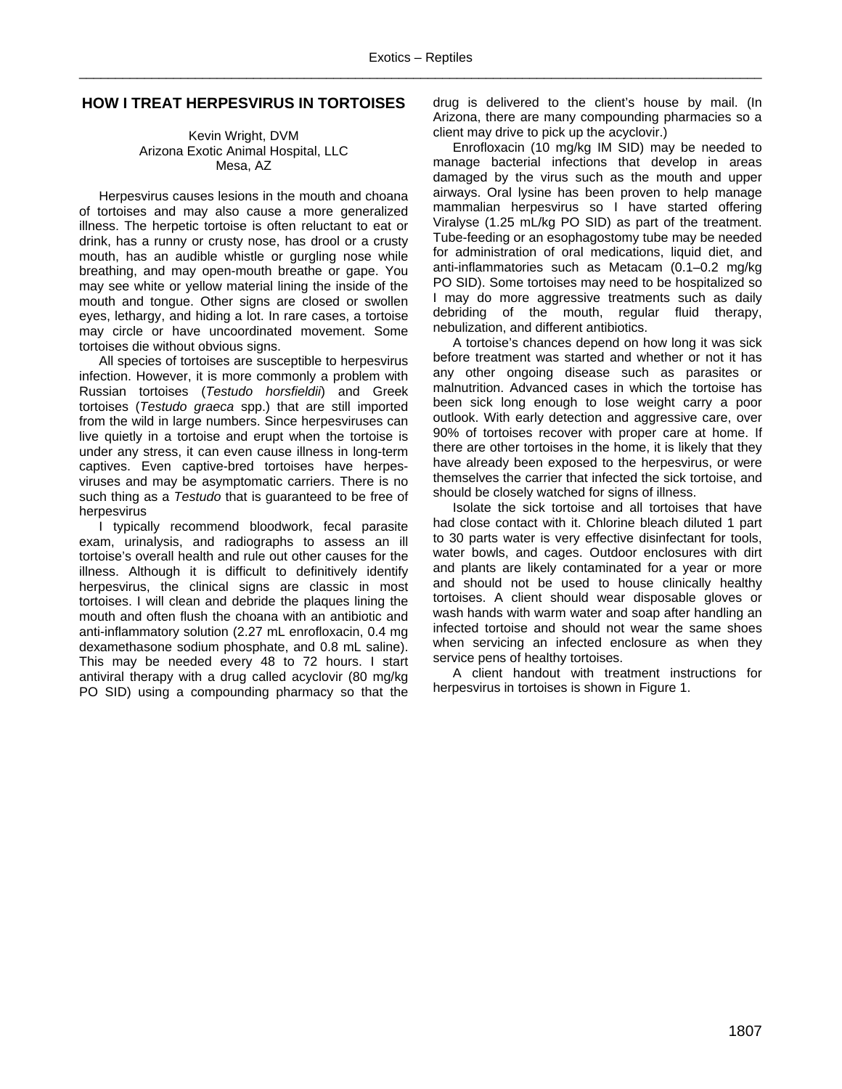## **HOW I TREAT HERPESVIRUS IN TORTOISES**

## Kevin Wright, DVM Arizona Exotic Animal Hospital, LLC Mesa, AZ

Herpesvirus causes lesions in the mouth and choana of tortoises and may also cause a more generalized illness. The herpetic tortoise is often reluctant to eat or drink, has a runny or crusty nose, has drool or a crusty mouth, has an audible whistle or gurgling nose while breathing, and may open-mouth breathe or gape. You may see white or yellow material lining the inside of the mouth and tongue. Other signs are closed or swollen eyes, lethargy, and hiding a lot. In rare cases, a tortoise may circle or have uncoordinated movement. Some tortoises die without obvious signs.

All species of tortoises are susceptible to herpesvirus infection. However, it is more commonly a problem with Russian tortoises (*Testudo horsfieldii*) and Greek tortoises (*Testudo graeca* spp.) that are still imported from the wild in large numbers. Since herpesviruses can live quietly in a tortoise and erupt when the tortoise is under any stress, it can even cause illness in long-term captives. Even captive-bred tortoises have herpesviruses and may be asymptomatic carriers. There is no such thing as a *Testudo* that is guaranteed to be free of herpesvirus

I typically recommend bloodwork, fecal parasite exam, urinalysis, and radiographs to assess an ill tortoise's overall health and rule out other causes for the illness. Although it is difficult to definitively identify herpesvirus, the clinical signs are classic in most tortoises. I will clean and debride the plaques lining the mouth and often flush the choana with an antibiotic and anti-inflammatory solution (2.27 mL enrofloxacin, 0.4 mg dexamethasone sodium phosphate, and 0.8 mL saline). This may be needed every 48 to 72 hours. I start antiviral therapy with a drug called acyclovir (80 mg/kg PO SID) using a compounding pharmacy so that the

drug is delivered to the client's house by mail. (In Arizona, there are many compounding pharmacies so a client may drive to pick up the acyclovir.)

Enrofloxacin (10 mg/kg IM SID) may be needed to manage bacterial infections that develop in areas damaged by the virus such as the mouth and upper airways. Oral lysine has been proven to help manage mammalian herpesvirus so I have started offering Viralyse (1.25 mL/kg PO SID) as part of the treatment. Tube-feeding or an esophagostomy tube may be needed for administration of oral medications, liquid diet, and anti-inflammatories such as Metacam (0.1–0.2 mg/kg PO SID). Some tortoises may need to be hospitalized so I may do more aggressive treatments such as daily debriding of the mouth, regular fluid therapy, nebulization, and different antibiotics.

A tortoise's chances depend on how long it was sick before treatment was started and whether or not it has any other ongoing disease such as parasites or malnutrition. Advanced cases in which the tortoise has been sick long enough to lose weight carry a poor outlook. With early detection and aggressive care, over 90% of tortoises recover with proper care at home. If there are other tortoises in the home, it is likely that they have already been exposed to the herpesvirus, or were themselves the carrier that infected the sick tortoise, and should be closely watched for signs of illness.

Isolate the sick tortoise and all tortoises that have had close contact with it. Chlorine bleach diluted 1 part to 30 parts water is very effective disinfectant for tools, water bowls, and cages. Outdoor enclosures with dirt and plants are likely contaminated for a year or more and should not be used to house clinically healthy tortoises. A client should wear disposable gloves or wash hands with warm water and soap after handling an infected tortoise and should not wear the same shoes when servicing an infected enclosure as when they service pens of healthy tortoises.

A client handout with treatment instructions for herpesvirus in tortoises is shown in Figure 1.